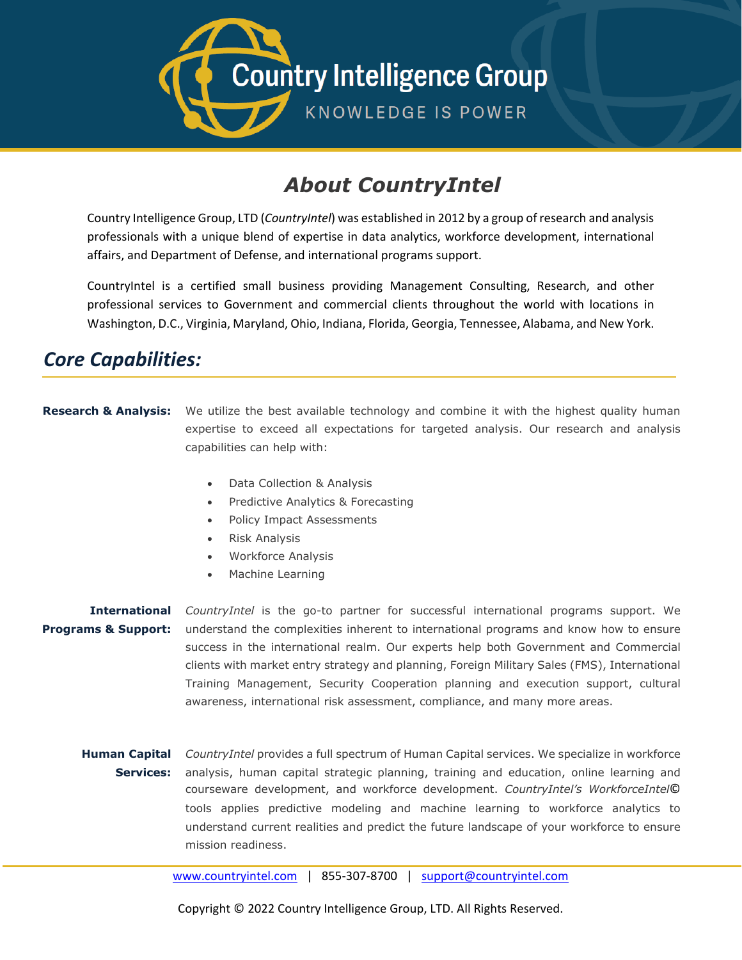

## *About CountryIntel*

Country Intelligence Group, LTD (*CountryIntel*) was established in 2012 by a group of research and analysis professionals with a unique blend of expertise in data analytics, workforce development, international affairs, and Department of Defense, and international programs support.

CountryIntel is a certified small business providing Management Consulting, Research, and other professional services to Government and commercial clients throughout the world with locations in Washington, D.C., Virginia, Maryland, Ohio, Indiana, Florida, Georgia, Tennessee, Alabama, and New York.

## *Core Capabilities:*

- **Research & Analysis:** We utilize the best available technology and combine it with the highest quality human expertise to exceed all expectations for targeted analysis. Our research and analysis capabilities can help with:
	- Data Collection & Analysis
	- Predictive Analytics & Forecasting
	- Policy Impact Assessments
	- Risk Analysis
	- Workforce Analysis
	- Machine Learning

## **International**  *CountryIntel* is the go-to partner for successful international programs support. We **Programs & Support:** understand the complexities inherent to international programs and know how to ensure success in the international realm. Our experts help both Government and Commercial clients with market entry strategy and planning, Foreign Military Sales (FMS), International Training Management, Security Cooperation planning and execution support, cultural awareness, international risk assessment, compliance, and many more areas.

**Human Capital** CountryIntel provides a full spectrum of Human Capital services. We specialize in workforce **Services:** analysis, human capital strategic planning, training and education, online learning and courseware development, and workforce development. *CountryIntel's WorkforceIntel*© tools applies predictive modeling and machine learning to workforce analytics to understand current realities and predict the future landscape of your workforce to ensure mission readiness.

[www.countryintel.com](http://www.countryintel.com/) | 855-307-8700 | [support@countryintel.com](mailto:support@countryintel.com)

Copyright © 2022 Country Intelligence Group, LTD. All Rights Reserved.